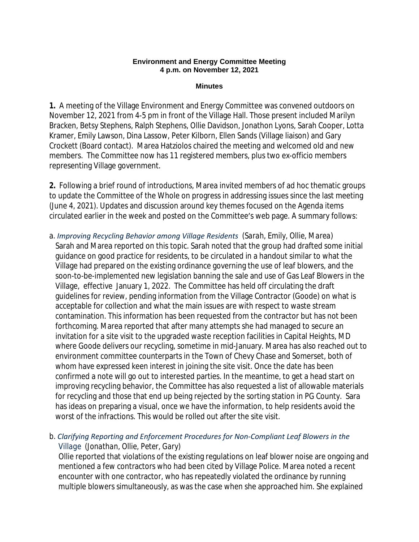### **Environment and Energy Committee Meeting 4 p.m. on November 12, 2021**

### **Minutes**

**1.** A meeting of the Village Environment and Energy Committee was convened outdoors on November 12, 2021 from 4-5 pm in front of the Village Hall. Those present included Marilyn Bracken, Betsy Stephens, Ralph Stephens, Ollie Davidson, Jonathon Lyons, Sarah Cooper, Lotta Kramer, Emily Lawson, Dina Lassow, Peter Kilborn, Ellen Sands (Village liaison) and Gary Crockett (Board contact). Marea Hatziolos chaired the meeting and welcomed old and new members. The Committee now has 11 registered members, plus two ex-officio members representing Village government.

**2.** Following a brief round of introductions, Marea invited members of ad hoc thematic groups to update the Committee of the Whole on progress in addressing issues since the last meeting (June 4, 2021). Updates and discussion around key themes focused on the Agenda items circulated earlier in the week and posted on the Committee's web page. A summary follows:

a. *Improving Recycling Behavior among Village Residents (Sarah, Emily, Ollie, Marea)* Sarah and Marea reported on this topic. Sarah noted that the group had drafted some initial guidance on good practice for residents, to be circulated in a handout similar to what the Village had prepared on the existing ordinance governing the use of leaf blowers, and the soon-to-be-implemented new legislation banning the sale and use of Gas Leaf Blowers in the Village, effective January 1, 2022. The Committee has held off circulating the draft guidelines for review, pending information from the Village Contractor (Goode) on what is acceptable for collection and what the main issues are with respect to waste stream contamination. This information has been requested from the contractor but has not been forthcoming. Marea reported that after many attempts she had managed to secure an invitation for a site visit to the upgraded waste reception facilities in Capital Heights, MD where Goode delivers our recycling, sometime in mid-January. Marea has also reached out to environment committee counterparts in the Town of Chevy Chase and Somerset, both of whom have expressed keen interest in joining the site visit. Once the date has been confirmed a note will go out to interested parties. In the meantime, to get a head start on improving recycling behavior, the Committee has also requested a list of allowable materials for recycling and those that end up being rejected by the sorting station in PG County. Sara has ideas on preparing a visual, once we have the information, to help residents avoid the worst of the infractions. This would be rolled out after the site visit.

## b. *Clarifying Reporting and Enforcement Procedures for Non-Compliant Leaf Blowers in the Village (Jonathan, Ollie, Peter, Gary)*

 Ollie reported that violations of the existing regulations on leaf blower noise are ongoing and mentioned a few contractors who had been cited by Village Police. Marea noted a recent encounter with one contractor, who has repeatedly violated the ordinance by running multiple blowers simultaneously, as was the case when she approached him. She explained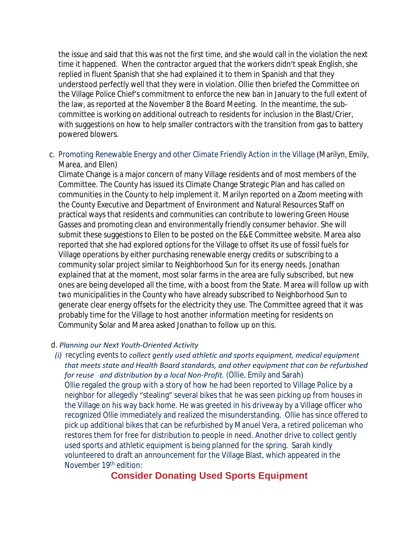the issue and said that this was not the first time, and she would call in the violation the next time it happened. When the contractor argued that the workers didn't speak English, she replied in fluent Spanish that she had explained it to them in Spanish and that they understood perfectly well that they were in violation. Ollie then briefed the Committee on the Village Police Chief's commitment to enforce the new ban in January to the full extent of the law, as reported at the November 8 the Board Meeting. In the meantime, the subcommittee is working on additional outreach to residents for inclusion in the Blast/Crier, with suggestions on how to help smaller contractors with the transition from gas to battery powered blowers.

c. *Promoting Renewable Energy and other Climate Friendly Action in the Village* (Marilyn, Emily, Marea, and Ellen)

Climate Change is a major concern of many Village residents and of most members of the Committee. The County has issued its Climate Change Strategic Plan and has called on communities in the County to help implement it. Marilyn reported on a Zoom meeting with the County Executive and Department of Environment and Natural Resources Staff on practical ways that residents and communities can contribute to lowering Green House Gasses and promoting clean and environmentally friendly consumer behavior. She will submit these suggestions to Ellen to be posted on the E&E Committee website. Marea also reported that she had explored options for the Village to offset its use of fossil fuels for Village operations by either purchasing renewable energy credits or subscribing to a community solar project similar to Neighborhood Sun for its energy needs. Jonathan explained that at the moment, most solar farms in the area are fully subscribed, but new ones are being developed all the time, with a boost from the State. Marea will follow up with two municipalities in the County who have already subscribed to Neighborhood Sun to generate clear energy offsets for the electricity they use. The Committee agreed that it was probably time for the Village to host another information meeting for residents on Community Solar and Marea asked Jonathan to follow up on this.

## d. *Planning our Next Youth-Oriented Activity*

 *(i) recycling events to collect gently used athletic and sports equipment, medical equipment that meets state and Health Board standards, and other equipment that can be refurbished for reuse and distribution by a local Non-Profit.* (Ollie, Emily and Sarah) Ollie regaled the group with a story of how he had been reported to Village Police by a neighbor for allegedly "stealing" several bikes that he was seen picking up from houses in the Village on his way back home. He was greeted in his driveway by a Village officer who recognized Ollie immediately and realized the misunderstanding. Ollie has since offered to pick up additional bikes that can be refurbished by Manuel Vera, a retired policeman who restores them for free for distribution to people in need. Another drive to collect gently used sports and athletic equipment is being planned for the spring. Sarah kindly volunteered to draft an announcement for the Village Blast, which appeared in the November 19th edition:

# **Consider Donating Used Sports Equipment**